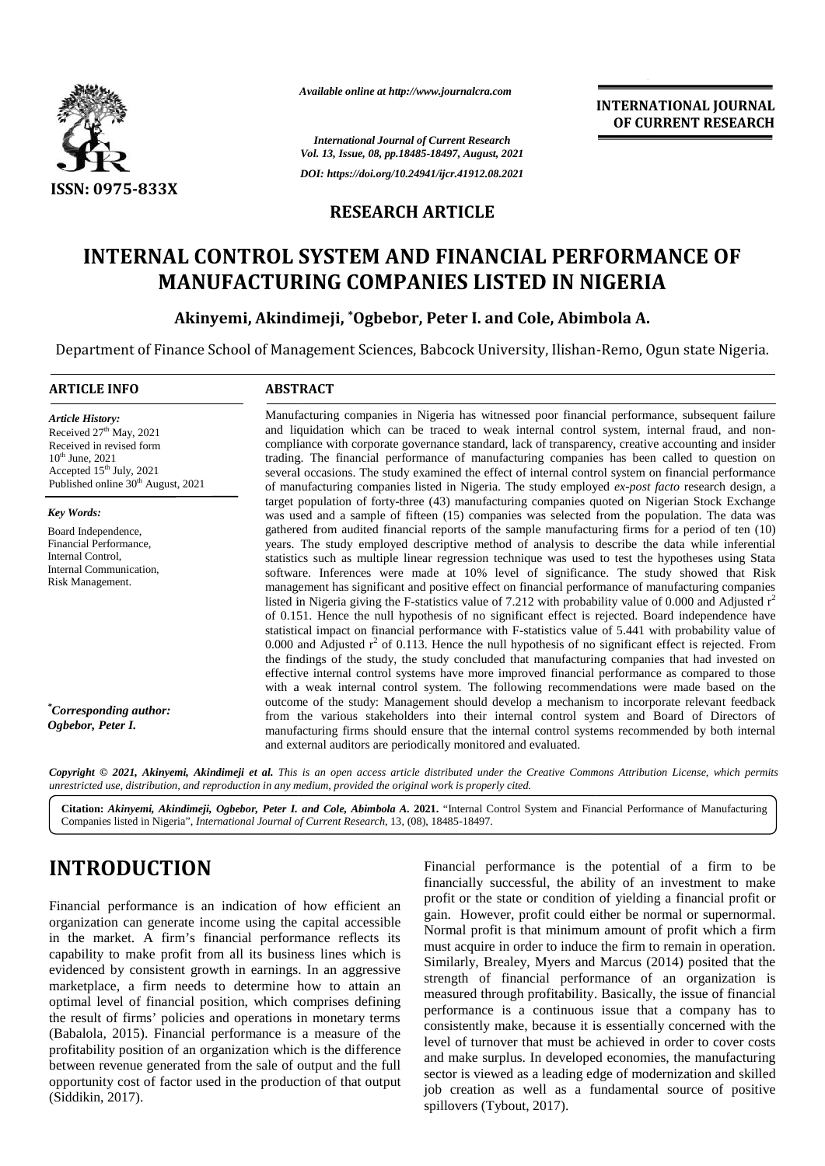

*Available online at http://www.journalcra.com*

*International Journal of Current Research Vol. 13, Issue, 08, pp.18485-18497, August, 2021 DOI: https://doi.org/10.24941/ijcr.41912.08.2021*

## **RESEARCH ARTICLE**

# **INTERNAL CONTROL SYSTEM AND FINANCIAL PERFORMANCE OF CONTROL SYSTEM MANUFACTURING COMPANIES LISTED IN NIGERIA**

### Akinyemi, Akindimeji, \*Ogbebor, Peter I. and Cole, Abimbola A.

Department of Finance School of Management Sciences, Babcock University, Ilishan-Remo, Ogun state Nigeria.

### **ARTICLE INFO ABSTRACT ARTICLE ABSTRACT**

*Article History:* Received  $27<sup>th</sup>$  May, 2021 Received 27" May, 2021<br>Received in revised form  $10^{th}$  June,  $2021$ Accepted  $15<sup>th</sup>$  July, 2021 Published online 30<sup>th</sup> August, 2021

*Key Words:*

Board Independence, Financial Performance, Internal Control, Internal Communication, Risk Management.

*\*Corresponding author: Ogbebor, Peter I.*

Manufacturing companies in Nigeria has witnessed poor financial performance, subsequent failure and liquidation which can be traced to weak internal control system, internal fraud, and non compliance with corporate governance standard, lack of transparency, creative accounting and insider trading. The financial performance of manufacturing companies has been called to question on several occasions. The study examined the effect of internal control system on financial performance of manufacturing companies listed in Nigeria. The study employed *ex-post facto* research design, a target population of forty-three (43) manufacturing companies quoted on Nigerian Stock Exchange target population of forty-three (43) manufacturing companies quoted on Nigerian Stock Exchange was used and a sample of fifteen (15) companies was selected from the population. The data was gathered from audited financial reports of the sample manufacturing firms for a period of ten (10) years. The study employed descriptive method of analysis to describe the data while inferential statistics such as multiple linear regression technique was used to test the hypotheses using Stata software. Inferences were made at 10% level of significance. The study showed that Risk management has significant and positive effect on financial performance of manufacturing companies listed in Nigeria giving the F-statistics value of 7.212 with probability value of 0.000 and Adjusted  $r^2$ of 0.151. Hence the null hypothesis of no significant effect is rejected. Board independence have statistical impact on financial performance with F-statistics value of 5.441 with probability value of 0.000 and Adjusted  $r^2$  of 0.113. Hence the null hypothesis of no significant effect is rejected. From the findings of the study, the study concluded that manufacturing companies that had invested on effective internal control systems have more improved financial performance as compared to those with a weak internal control system. The following recommendations were made based on the outcome of the study: Management should develop a mechanism to incorporate relevant feedback from the various stakeholders into their internal control system and Board of Directors of manufacturing firms should ensure that the internal control systems recommended by both internal and external auditors are periodically monitored and evaluated. Manufacturing companies in Nigeria has witnessed poor financial performance, subsequent failure and liquidation which can be traced to weak internal control system, internal fraud, and non-compliance with corporate governa gathered from audited financial reports of the sample manufacturing firms for a period of ten (10)<br>years. The study employed descriptive method of analysis to describe the data while inferential<br>statistics such as multipl effective internal control systems have more improved financial performance as compared to the with a weak internal control system. The following recommendations were made based on outcome of the study: Management should d **ESTE INTERNAL CONTROL SYSTEM AND FINANCIAL PERFORMANCE OF**<br>
ISSN: 0075-833X<br>
RESEARCH ARTICLE<br>
INTERNAL CONTROL SYSTEM AND FINANCIAL PERFORMANCE OF<br>
MANUFACTURING COMPANIES LISTED IN NIGERIA<br>
INTERNAL CONTROL SYSTEM AND Available online at http://www.journalcra.com<br>
You 1.3, Issue (8, pp.1848-18497/.axgust, 2013)<br>
ISSN: 0975-833X<br>
DOI: https://doi.org/10.24911/ijer.4191.0.82<br>
ISSN: 0975-833X<br>
DOI: https://doi.org/10.24911/ijer.4191.0.82<br> INTERNATIONAL JOURNAL<br>
IDENTIFIEST (OF CURRENT RESEARCH<br>
SCALE (OF CURRENT RESEARCH<br>
SCALE (OF CURRENT RESEARCH<br>
SCALE APAILIGATION (DECRET)<br>
IDENTIFICATION (DECRET)<br>
IDENTIFICATION INTEST IDENTIFICATION (DECRET)<br>
TO FINA

**Copyright © 2021, Akinyemi, Akindimeji et al.** This is an open access article distributed under the Creative Commons Attribution License, which permits<br>unrestricted use, distribution, and reproduction in any medium, provi *unrestricted use,distribution, and reproduction in any medium, provided the original work is properly cited.*

Citation: Akinyemi, Akindimeji, Ogbebor, Peter I. and Cole, Abimbola A. 2021. "Internal Control System and Financial Performance of Manufacturing Companies listed in Nigeria", *International Journal of Current Research*, 13, (08), 18485-18497.

# **INTRODUCTION INTRODUCTION**

Financial performance is an indication of how efficient an Financial performance is an indication of how efficient an equal organization can generate income using the capital accessible in the market. A firm's financial performance reflects its  $\frac{1}{m}$ capability to make profit from all its business lines which is evidenced by consistent growth in earnings. In an aggressive  $\frac{50 \text{ m}}{2400 \text{ s}}$ marketplace, a firm needs to determine how to attain an optimal level of financial position, which comprises defining the result of firms' policies and operations in monetary terms  $\frac{P}{Q}$ (Babalola, 2015). Financial performance is a measure of the profitability position of an organization which is the difference (Babalola, 2015). Financial performance is a measure of the profitability position of an organization which is the difference between revenue generated from the sale of output and the full opportunity cost of factor used in the production of that output (Siddikin, 2017). capability to make profit from all its business lines which is<br>evidenced by consistent growth in earnings. In an aggressive<br>marketplace, a firm needs to determine how to attain an<br>optimal level of financial position, which

Financial performance is the potential of a firm to be financially successful, the ability of an investment to make profit or the state or condition of yielding a financial profit or gain. However, profit could either be normal or supernormal. Normal profit is that minimum amount of profit which a firm must acquire in order to induce the firm to remain in operation. Similarly, Brealey, Myers and Marcus (2014) posited that the strength of financial performance of an organization is measured through profitability. Basically, the issue of financial performance is a continuous issue that a company has to consistently make, because it is essentially concerned with the level of turnover that must be achieved in order to cover costs and make surplus. In developed economies, the manufacturing sector is viewed as a leading edge of modernization and skilled job creation as well as a fundamental source of positive spillovers (Tybout, 2017).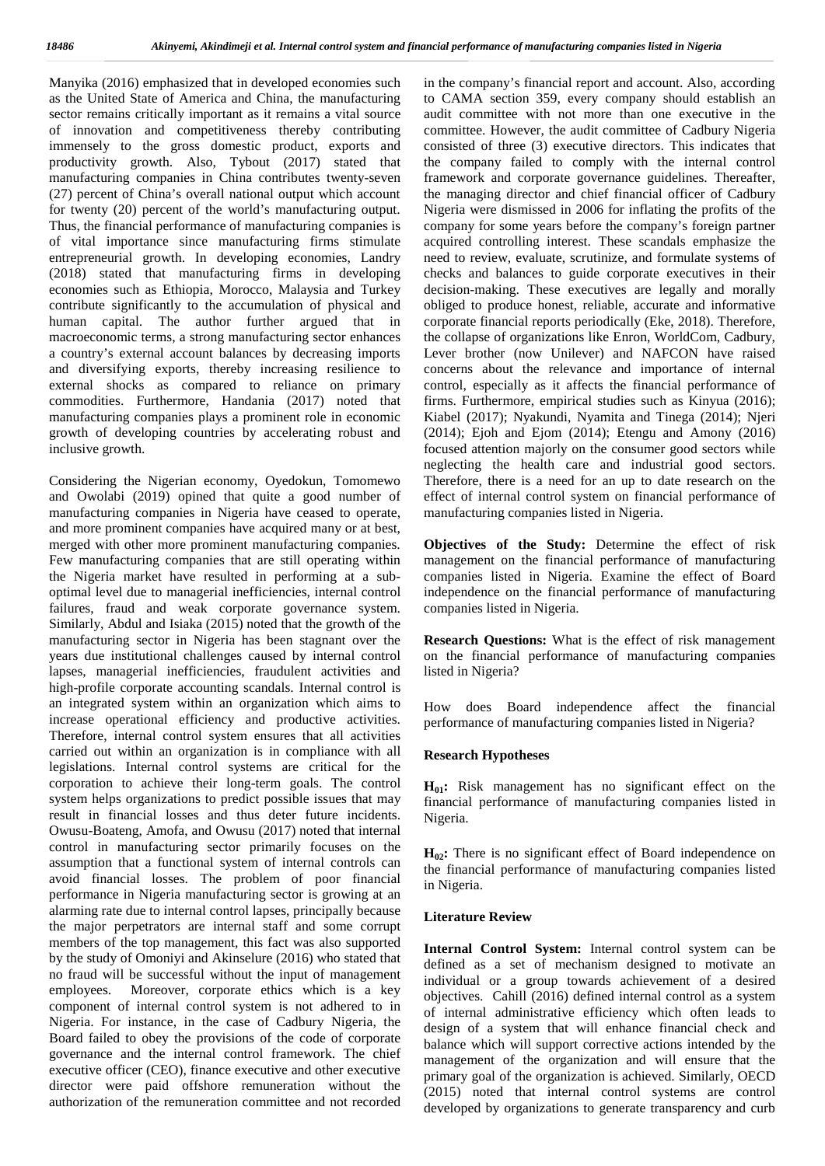Manyika (2016) emphasized that in developed economies such in the as the United State of America and China, the manufacturing sector remains critically important as it remains a vital source of innovation and competitiveness thereby contributing immensely to the gross domestic product, exports and productivity growth. Also, Tybout (2017) stated that manufacturing companies in China contributes twenty-seven (27) percent of China's overall national output which account for twenty (20) percent of the world's manufacturing output. Thus, the financial performance of manufacturing companies is of vital importance since manufacturing firms stimulate entrepreneurial growth. In developing economies, Landry (2018) stated that manufacturing firms in developing economies such as Ethiopia, Morocco, Malaysia and Turkey contribute significantly to the accumulation of physical and human capital. The author further argued that in macroeconomic terms, a strong manufacturing sector enhances a country's external account balances by decreasing imports and diversifying exports, thereby increasing resilience to external shocks as compared to reliance on primary commodities. Furthermore, Handania (2017) noted that manufacturing companies plays a prominent role in economic growth of developing countries by accelerating robust and inclusive growth.

Considering the Nigerian economy, Oyedokun, Tomomewo and Owolabi (2019) opined that quite a good number of manufacturing companies in Nigeria have ceased to operate, and more prominent companies have acquired many or at best, merged with other more prominent manufacturing companies. Few manufacturing companies that are still operating within the Nigeria market have resulted in performing at a sub optimal level due to managerial inefficiencies, internal control failures, fraud and weak corporate governance system. Similarly, Abdul and Isiaka (2015) noted that the growth of the manufacturing sector in Nigeria has been stagnant over the years due institutional challenges caused by internal control lapses, managerial inefficiencies, fraudulent activities and high-profile corporate accounting scandals. Internal control is an integrated system within an organization which aims to increase operational efficiency and productive activities. Therefore, internal control system ensures that all activities carried out within an organization is in compliance with all legislations. Internal control systems are critical for the corporation to achieve their long-term goals. The control system helps organizations to predict possible issues that may result in financial losses and thus deter future incidents. Owusu-Boateng, Amofa, and Owusu (2017) noted that internal control in manufacturing sector primarily focuses on the assumption that a functional system of internal controls can avoid financial losses. The problem of poor financial performance in Nigeria manufacturing sector is growing at an alarming rate due to internal control lapses, principally because the major perpetrators are internal staff and some corrupt members of the top management, this fact was also supported by the study of Omoniyi and Akinselure (2016) who stated that no fraud will be successful without the input of management employees. Moreover, corporate ethics which is a key component of internal control system is not adhered to in Nigeria. For instance, in the case of Cadbury Nigeria, the Board failed to obey the provisions of the code of corporate governance and the internal control framework. The chief executive officer (CEO), finance executive and other executive director were paid offshore remuneration without the authorization of the remuneration committee and not recorded

in the company's financial report and account. Also, according to CAMA section 359, every company should establish an audit committee with not more than one executive in the committee. However, the audit committee of Cadbury Nigeria consisted of three (3) executive directors. This indicates that the company failed to comply with the internal control framework and corporate governance guidelines. Thereafter, the managing director and chief financial officer of Cadbury Nigeria were dismissed in 2006 for inflating the profits of the company for some years before the company's foreign partner acquired controlling interest. These scandals emphasize the need to review, evaluate, scrutinize, and formulate systems of checks and balances to guide corporate executives in their decision-making. These executives are legally and morally obliged to produce honest, reliable, accurate and informative corporate financial reports periodically (Eke, 2018). Therefore, the collapse of organizations like Enron, WorldCom, Cadbury, Lever brother (now Unilever) and NAFCON have raised concerns about the relevance and importance of internal control, especially as it affects the financial performance of firms. Furthermore, empirical studies such as Kinyua (2016); Kiabel (2017); Nyakundi, Nyamita and Tinega (2014); Njeri (2014); Ejoh and Ejom (2014); Etengu and Amony (2016) focused attention majorly on the consumer good sectors while neglecting the health care and industrial good sectors. Therefore, there is a need for an up to date research on the effect of internal control system on financial performance of manufacturing companies listed in Nigeria.

**Objectives of the Study:** Determine the effect of risk management on the financial performance of manufacturing companies listed in Nigeria. Examine the effect of Board independence on the financial performance of manufacturing companies listed in Nigeria.

**Research Questions:** What is the effect of risk management on the financial performance of manufacturing companies listed in Nigeria?

How does Board independence affect the financial performance of manufacturing companies listed in Nigeria?

### **Research Hypotheses**

**H01:** Risk management has no significant effect on the financial performance of manufacturing companies listed in Nigeria.

**H<sub>02</sub>**: There is no significant effect of Board independence on the financial performance of manufacturing companies listed in Nigeria.

### **Literature Review**

**Internal Control System:** Internal control system can be defined as a set of mechanism designed to motivate an individual or a group towards achievement of a desired objectives. Cahill (2016) defined internal control as a system of internal administrative efficiency which often leads to design of a system that will enhance financial check and balance which will support corrective actions intended by the management of the organization and will ensure that the primary goal of the organization is achieved. Similarly, OECD (2015) noted that internal control systems are control developed by organizations to generate transparency and curb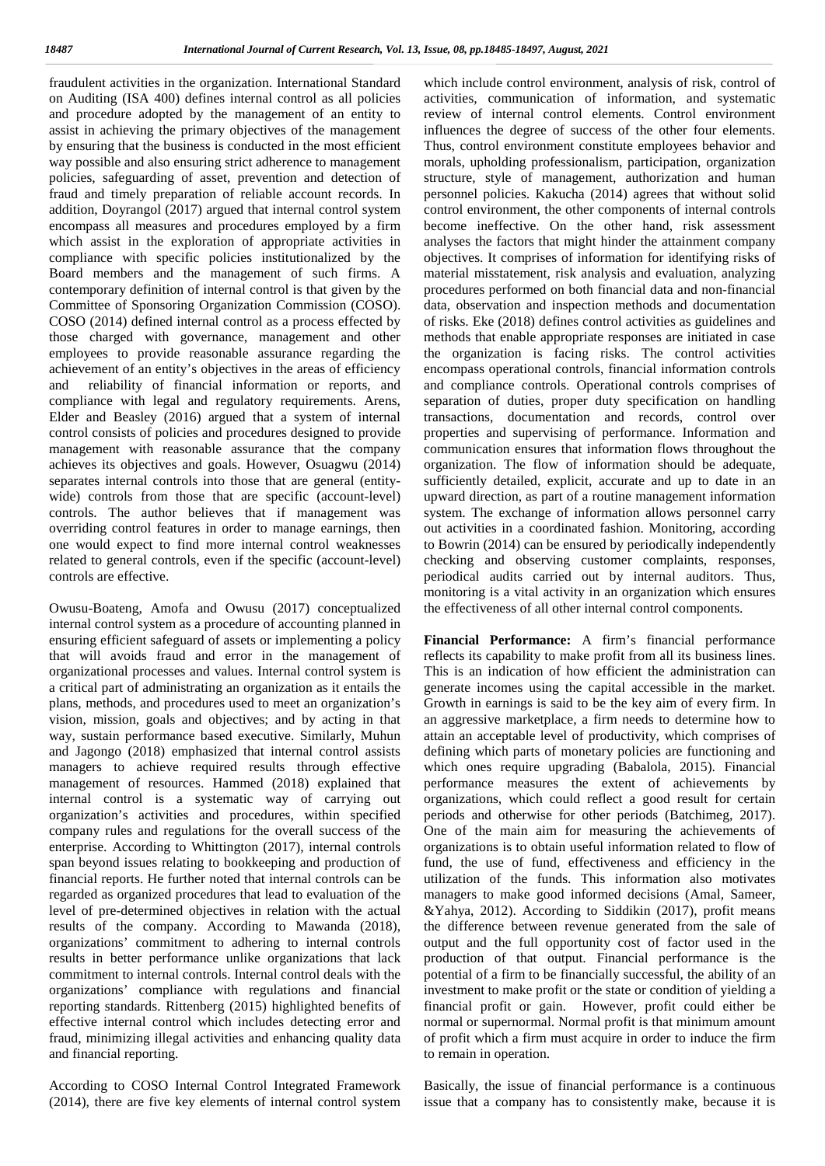fraudulent activities in the organization. International Standard which on Auditing (ISA 400) defines internal control as all policies and procedure adopted by the management of an entity to assist in achieving the primary objectives of the management by ensuring that the business is conducted in the most efficient way possible and also ensuring strict adherence to management policies, safeguarding of asset, prevention and detection of fraud and timely preparation of reliable account records. In addition, Doyrangol (2017) argued that internal control system encompass all measures and procedures employed by a firm which assist in the exploration of appropriate activities in compliance with specific policies institutionalized by the Board members and the management of such firms. A contemporary definition of internal control is that given by the Committee of Sponsoring Organization Commission (COSO). COSO (2014) defined internal control as a process effected by those charged with governance, management and other employees to provide reasonable assurance regarding the achievement of an entity's objectives in the areas of efficiency and reliability of financial information or reports, and compliance with legal and regulatory requirements. Arens, Elder and Beasley (2016) argued that a system of internal control consists of policies and procedures designed to provide management with reasonable assurance that the company achieves its objectives and goals. However, Osuagwu (2014) separates internal controls into those that are general (entity wide) controls from those that are specific (account-level) controls. The author believes that if management was overriding control features in order to manage earnings, then one would expect to find more internal control weaknesses related to general controls, even if the specific (account-level) controls are effective.

Owusu-Boateng, Amofa and Owusu (2017) conceptualized internal control system as a procedure of accounting planned in ensuring efficient safeguard of assets or implementing a policy that will avoids fraud and error in the management of organizational processes and values. Internal control system is a critical part of administrating an organization as it entails the plans, methods, and procedures used to meet an organization's vision, mission, goals and objectives; and by acting in that way, sustain performance based executive. Similarly, Muhun and Jagongo (2018) emphasized that internal control assists managers to achieve required results through effective management of resources. Hammed (2018) explained that internal control is a systematic way of carrying out organization's activities and procedures, within specified company rules and regulations for the overall success of the enterprise. According to Whittington (2017), internal controls span beyond issues relating to bookkeeping and production of financial reports. He further noted that internal controls can be regarded as organized procedures that lead to evaluation of the level of pre-determined objectives in relation with the actual results of the company. According to Mawanda (2018), organizations' commitment to adhering to internal controls results in better performance unlike organizations that lack commitment to internal controls. Internal control deals with the organizations' compliance with regulations and financial reporting standards. Rittenberg (2015) highlighted benefits of effective internal control which includes detecting error and fraud, minimizing illegal activities and enhancing quality data and financial reporting.

According to COSO Internal Control Integrated Framework (2014), there are five key elements of internal control system which include control environment, analysis of risk, control of activities, communication of information, and systematic review of internal control elements. Control environment influences the degree of success of the other four elements. Thus, control environment constitute employees behavior and morals, upholding professionalism, participation, organization structure, style of management, authorization and human personnel policies. Kakucha (2014) agrees that without solid control environment, the other components of internal controls become ineffective. On the other hand, risk assessment analyses the factors that might hinder the attainment company objectives. It comprises of information for identifying risks of material misstatement, risk analysis and evaluation, analyzing procedures performed on both financial data and non-financial data, observation and inspection methods and documentation of risks. Eke (2018) defines control activities as guidelines and methods that enable appropriate responses are initiated in case the organization is facing risks. The control activities encompass operational controls, financial information controls and compliance controls. Operational controls comprises of separation of duties, proper duty specification on handling transactions, documentation and records, control over properties and supervising of performance. Information and communication ensures that information flows throughout the organization. The flow of information should be adequate, sufficiently detailed, explicit, accurate and up to date in an upward direction, as part of a routine management information system. The exchange of information allows personnel carry out activities in a coordinated fashion. Monitoring, according to Bowrin (2014) can be ensured by periodically independently checking and observing customer complaints, responses, periodical audits carried out by internal auditors. Thus, monitoring is a vital activity in an organization which ensures the effectiveness of all other internal control components.

**Financial Performance:** A firm's financial performance reflects its capability to make profit from all its business lines. This is an indication of how efficient the administration can generate incomes using the capital accessible in the market. Growth in earnings is said to be the key aim of every firm. In an aggressive marketplace, a firm needs to determine how to attain an acceptable level of productivity, which comprises of defining which parts of monetary policies are functioning and which ones require upgrading (Babalola, 2015). Financial performance measures the extent of achievements by organizations, which could reflect a good result for certain periods and otherwise for other periods (Batchimeg, 2017). One of the main aim for measuring the achievements of organizations is to obtain useful information related to flow of fund, the use of fund, effectiveness and efficiency in the utilization of the funds. This information also motivates managers to make good informed decisions (Amal, Sameer, &Yahya, 2012). According to Siddikin (2017), profit means the difference between revenue generated from the sale of output and the full opportunity cost of factor used in the production of that output. Financial performance is the potential of a firm to be financially successful, the ability of an investment to make profit or the state or condition of yielding a financial profit or gain. However, profit could either be normal or supernormal. Normal profit is that minimum amount of profit which a firm must acquire in order to induce the firm to remain in operation.

Basically, the issue of financial performance is a continuous issue that a company has to consistently make, because it is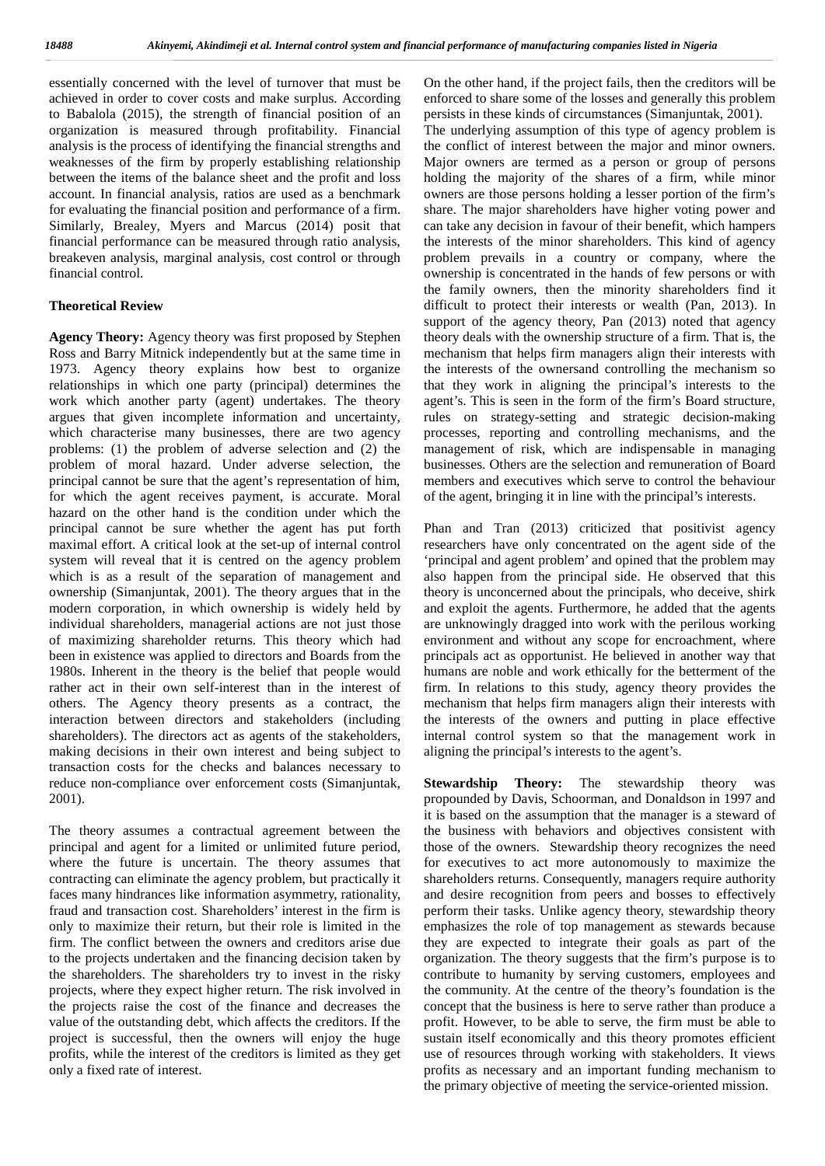essentially concerned with the level of turnover that must be On achieved in order to cover costs and make surplus. According to Babalola (2015), the strength of financial position of an organization is measured through profitability. Financial analysis is the process of identifying the financial strengths and weaknesses of the firm by properly establishing relationship between the items of the balance sheet and the profit and loss account. In financial analysis, ratios are used as a benchmark for evaluating the financial position and performance of a firm. Similarly, Brealey, Myers and Marcus (2014) posit that financial performance can be measured through ratio analysis, breakeven analysis, marginal analysis, cost control or through financial control.

#### **Theoretical Review**

**Agency Theory:** Agency theory was first proposed by Stephen Ross and Barry Mitnick independently but at the same time in 1973. Agency theory explains how best to organize relationships in which one party (principal) determines the work which another party (agent) undertakes. The theory argues that given incomplete information and uncertainty, which characterise many businesses, there are two agency problems: (1) the problem of adverse selection and (2) the problem of moral hazard. Under adverse selection, the principal cannot be sure that the agent's representation of him, for which the agent receives payment, is accurate. Moral hazard on the other hand is the condition under which the principal cannot be sure whether the agent has put forth maximal effort. A critical look at the set-up of internal control system will reveal that it is centred on the agency problem which is as a result of the separation of management and ownership (Simanjuntak, 2001). The theory argues that in the modern corporation, in which ownership is widely held by individual shareholders, managerial actions are not just those of maximizing shareholder returns. This theory which had been in existence was applied to directors and Boards from the 1980s. Inherent in the theory is the belief that people would rather act in their own self-interest than in the interest of others. The Agency theory presents as a contract, the interaction between directors and stakeholders (including shareholders). The directors act as agents of the stakeholders, making decisions in their own interest and being subject to transaction costs for the checks and balances necessary to reduce non-compliance over enforcement costs (Simanjuntak, 2001).

The theory assumes a contractual agreement between the principal and agent for a limited or unlimited future period, where the future is uncertain. The theory assumes that contracting can eliminate the agency problem, but practically it faces many hindrances like information asymmetry, rationality, fraud and transaction cost. Shareholders' interest in the firm is only to maximize their return, but their role is limited in the firm. The conflict between the owners and creditors arise due to the projects undertaken and the financing decision taken by the shareholders. The shareholders try to invest in the risky projects, where they expect higher return. The risk involved in the projects raise the cost of the finance and decreases the value of the outstanding debt, which affects the creditors. If the project is successful, then the owners will enjoy the huge profits, while the interest of the creditors is limited as they get only a fixed rate of interest.

On the other hand, if the project fails, then the creditors will be enforced to share some of the losses and generally this problem persists in these kinds of circumstances (Simanjuntak, 2001).

The underlying assumption of this type of agency problem is the conflict of interest between the major and minor owners. Major owners are termed as a person or group of persons holding the majority of the shares of a firm, while minor owners are those persons holding a lesser portion of the firm's share. The major shareholders have higher voting power and can take any decision in favour of their benefit, which hampers the interests of the minor shareholders. This kind of agency problem prevails in a country or company, where the ownership is concentrated in the hands of few persons or with the family owners, then the minority shareholders find it difficult to protect their interests or wealth (Pan, 2013). In support of the agency theory, Pan (2013) noted that agency theory deals with the ownership structure of a firm. That is, the mechanism that helps firm managers align their interests with the interests of the ownersand controlling the mechanism so that they work in aligning the principal's interests to the agent's. This is seen in the form of the firm's Board structure, rules on strategy-setting and strategic decision-making processes, reporting and controlling mechanisms, and the management of risk, which are indispensable in managing businesses. Others are the selection and remuneration of Board members and executives which serve to control the behaviour of the agent, bringing it in line with the principal's interests.

Phan and Tran (2013) criticized that positivist agency researchers have only concentrated on the agent side of the 'principal and agent problem' and opined that the problem may also happen from the principal side. He observed that this theory is unconcerned about the principals, who deceive, shirk and exploit the agents. Furthermore, he added that the agents are unknowingly dragged into work with the perilous working environment and without any scope for encroachment, where principals act as opportunist. He believed in another way that humans are noble and work ethically for the betterment of the firm. In relations to this study, agency theory provides the mechanism that helps firm managers align their interests with the interests of the owners and putting in place effective internal control system so that the management work in aligning the principal's interests to the agent's.

**Stewardship Theory:** The stewardship theory was propounded by Davis, Schoorman, and Donaldson in 1997 and it is based on the assumption that the manager is a steward of the business with behaviors and objectives consistent with those of the owners. Stewardship theory recognizes the need for executives to act more autonomously to maximize the shareholders returns. Consequently, managers require authority and desire recognition from peers and bosses to effectively perform their tasks. Unlike agency theory, stewardship theory emphasizes the role of top management as stewards because they are expected to integrate their goals as part of the organization. The theory suggests that the firm's purpose is to contribute to humanity by serving customers, employees and the community. At the centre of the theory's foundation is the concept that the business is here to serve rather than produce a profit. However, to be able to serve, the firm must be able to sustain itself economically and this theory promotes efficient use of resources through working with stakeholders. It views profits as necessary and an important funding mechanism to the primary objective of meeting the service-oriented mission.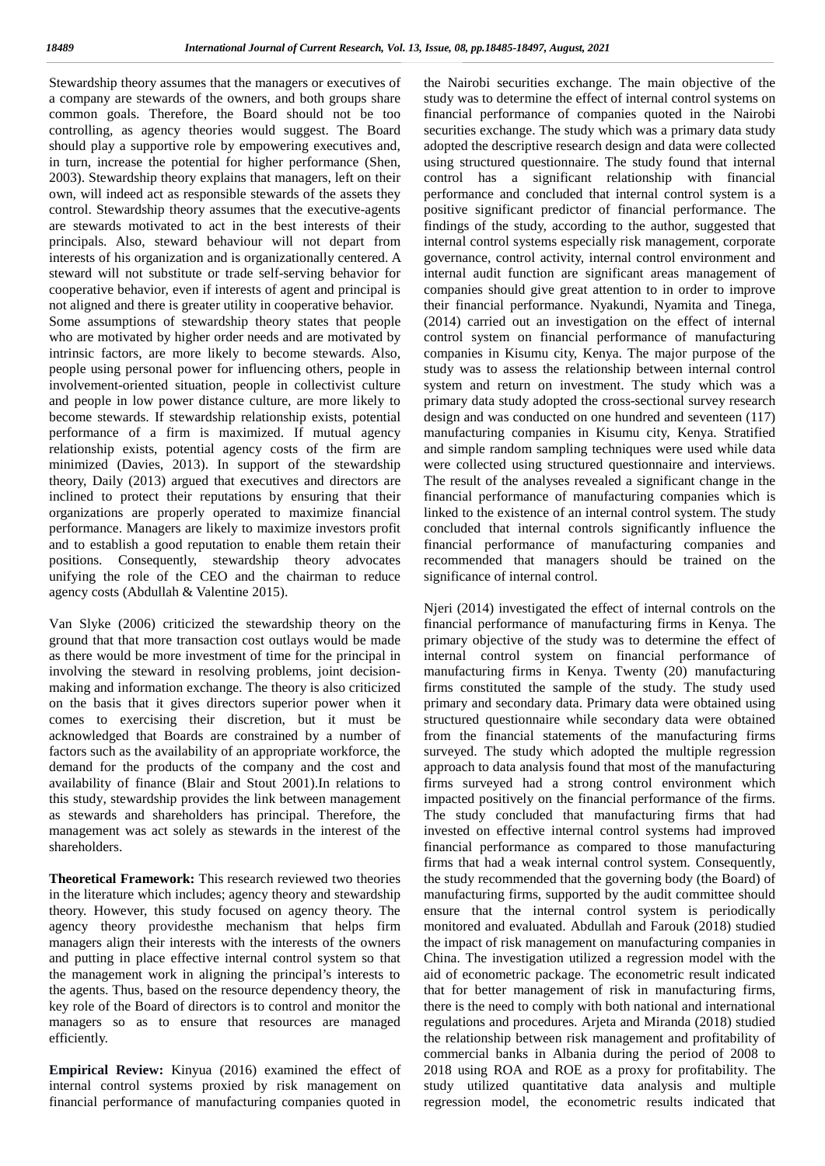Stewardship theory assumes that the managers or executives of theory a company are stewards of the owners, and both groups share common goals. Therefore, the Board should not be too controlling, as agency theories would suggest. The Board should play a supportive role by empowering executives and, in turn, increase the potential for higher performance (Shen, 2003). Stewardship theory explains that managers, left on their own, will indeed act as responsible stewards of the assets they control. Stewardship theory assumes that the executive-agents are stewards motivated to act in the best interests of their principals. Also, steward behaviour will not depart from interests of his organization and is organizationally centered. A steward will not substitute or trade self-serving behavior for cooperative behavior, even if interests of agent and principal is not aligned and there is greater utility in cooperative behavior.

Some assumptions of stewardship theory states that people who are motivated by higher order needs and are motivated by intrinsic factors, are more likely to become stewards. Also, people using personal power for influencing others, people in involvement-oriented situation, people in collectivist culture and people in low power distance culture, are more likely to become stewards. If stewardship relationship exists, potential performance of a firm is maximized. If mutual agency relationship exists, potential agency costs of the firm are minimized (Davies, 2013). In support of the stewardship theory, Daily (2013) argued that executives and directors are inclined to protect their reputations by ensuring that their organizations are properly operated to maximize financial performance. Managers are likely to maximize investors profit and to establish a good reputation to enable them retain their positions. Consequently, stewardship theory advocates unifying the role of the CEO and the chairman to reduce agency costs (Abdullah & Valentine 2015).

Van Slyke (2006) criticized the stewardship theory on the ground that that more transaction cost outlays would be made as there would be more investment of time for the principal in involving the steward in resolving problems, joint decision making and information exchange. The theory is also criticized on the basis that it gives directors superior power when it comes to exercising their discretion, but it must be acknowledged that Boards are constrained by a number of factors such as the availability of an appropriate workforce, the demand for the products of the company and the cost and availability of finance (Blair and Stout 2001).In relations to this study, stewardship provides the link between management as stewards and shareholders has principal. Therefore, the management was act solely as stewards in the interest of the shareholders.

**Theoretical Framework:** This research reviewed two theories in the literature which includes; agency theory and stewardship theory. However, this study focused on agency theory. The agency theory providesthe mechanism that helps firm managers align their interests with the interests of the owners and putting in place effective internal control system so that the management work in aligning the principal's interests to the agents. Thus, based on the resource dependency theory, the key role of the Board of directors is to control and monitor the managers so as to ensure that resources are managed efficiently.

**Empirical Review:** Kinyua (2016) examined the effect of internal control systems proxied by risk management on financial performance of manufacturing companies quoted in

the Nairobi securities exchange. The main objective of the study was to determine the effect of internal control systems on financial performance of companies quoted in the Nairobi securities exchange. The study which was a primary data study adopted the descriptive research design and data were collected using structured questionnaire. The study found that internal control has a significant relationship with financial performance and concluded that internal control system is a positive significant predictor of financial performance. The findings of the study, according to the author, suggested that internal control systems especially risk management, corporate governance, control activity, internal control environment and internal audit function are significant areas management of companies should give great attention to in order to improve their financial performance. Nyakundi, Nyamita and Tinega, (2014) carried out an investigation on the effect of internal control system on financial performance of manufacturing companies in Kisumu city, Kenya. The major purpose of the study was to assess the relationship between internal control system and return on investment. The study which was a primary data study adopted the cross-sectional survey research design and was conducted on one hundred and seventeen (117) manufacturing companies in Kisumu city, Kenya. Stratified and simple random sampling techniques were used while data were collected using structured questionnaire and interviews. The result of the analyses revealed a significant change in the financial performance of manufacturing companies which is linked to the existence of an internal control system. The study concluded that internal controls significantly influence the financial performance of manufacturing companies and recommended that managers should be trained on the significance of internal control.

Njeri (2014) investigated the effect of internal controls on the financial performance of manufacturing firms in Kenya. The primary objective of the study was to determine the effect of internal control system on financial performance of manufacturing firms in Kenya. Twenty (20) manufacturing firms constituted the sample of the study. The study used primary and secondary data. Primary data were obtained using structured questionnaire while secondary data were obtained from the financial statements of the manufacturing firms surveyed. The study which adopted the multiple regression approach to data analysis found that most of the manufacturing firms surveyed had a strong control environment which impacted positively on the financial performance of the firms. The study concluded that manufacturing firms that had invested on effective internal control systems had improved financial performance as compared to those manufacturing firms that had a weak internal control system. Consequently, the study recommended that the governing body (the Board) of manufacturing firms, supported by the audit committee should ensure that the internal control system is periodically monitored and evaluated. Abdullah and Farouk (2018) studied the impact of risk management on manufacturing companies in China. The investigation utilized a regression model with the aid of econometric package. The econometric result indicated that for better management of risk in manufacturing firms, there is the need to comply with both national and international regulations and procedures. Arjeta and Miranda (2018) studied the relationship between risk management and profitability of commercial banks in Albania during the period of 2008 to 2018 using ROA and ROE as a proxy for profitability. The study utilized quantitative data analysis and multiple regression model, the econometric results indicated that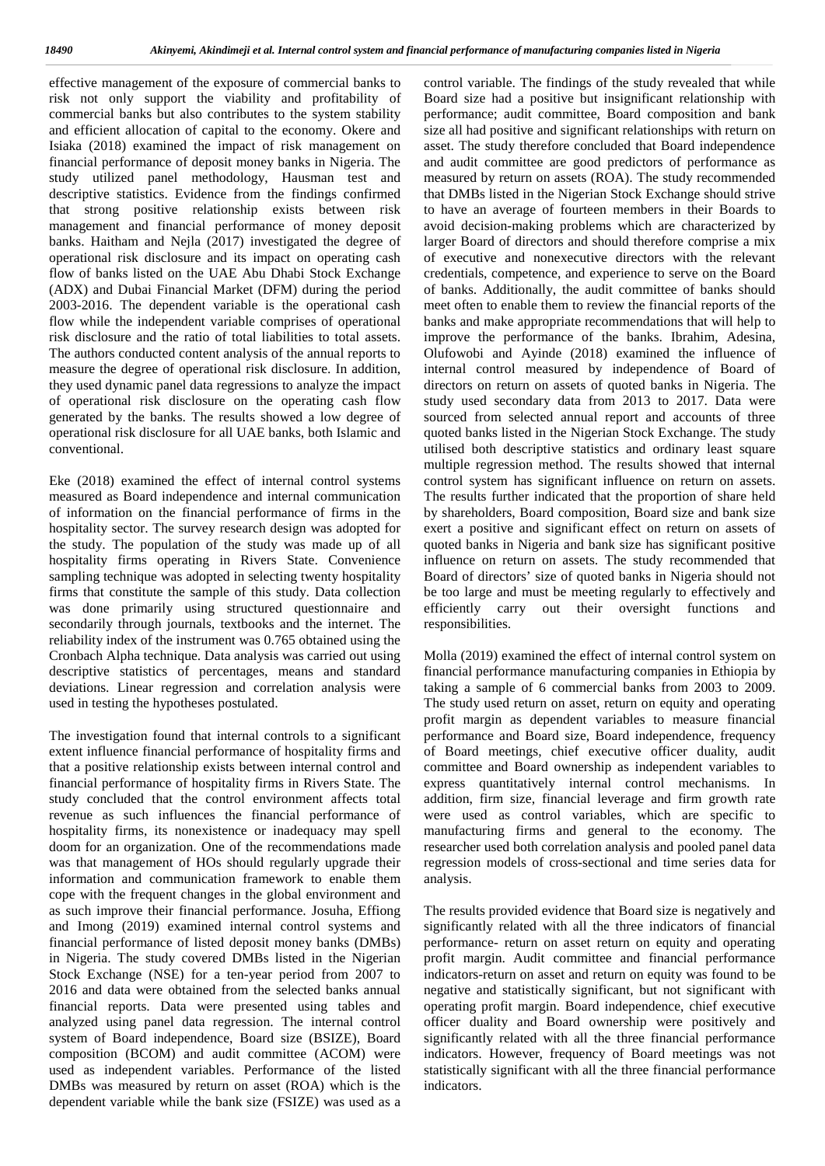effective management of the exposure of commercial banks to contr risk not only support the viability and profitability of commercial banks but also contributes to the system stability and efficient allocation of capital to the economy. Okere and Isiaka (2018) examined the impact of risk management on financial performance of deposit money banks in Nigeria. The study utilized panel methodology, Hausman test and descriptive statistics. Evidence from the findings confirmed that strong positive relationship exists between risk management and financial performance of money deposit banks. Haitham and Nejla (2017) investigated the degree of operational risk disclosure and its impact on operating cash flow of banks listed on the UAE Abu Dhabi Stock Exchange (ADX) and Dubai Financial Market (DFM) during the period 2003-2016. The dependent variable is the operational cash flow while the independent variable comprises of operational risk disclosure and the ratio of total liabilities to total assets. The authors conducted content analysis of the annual reports to measure the degree of operational risk disclosure. In addition, they used dynamic panel data regressions to analyze the impact of operational risk disclosure on the operating cash flow generated by the banks. The results showed a low degree of operational risk disclosure for all UAE banks, both Islamic and conventional.

Eke (2018) examined the effect of internal control systems measured as Board independence and internal communication of information on the financial performance of firms in the hospitality sector. The survey research design was adopted for the study. The population of the study was made up of all hospitality firms operating in Rivers State. Convenience sampling technique was adopted in selecting twenty hospitality firms that constitute the sample of this study. Data collection was done primarily using structured questionnaire and secondarily through journals, textbooks and the internet. The reliability index of the instrument was 0.765 obtained using the Cronbach Alpha technique. Data analysis was carried out using descriptive statistics of percentages, means and standard deviations. Linear regression and correlation analysis were used in testing the hypotheses postulated.

The investigation found that internal controls to a significant extent influence financial performance of hospitality firms and that a positive relationship exists between internal control and financial performance of hospitality firms in Rivers State. The study concluded that the control environment affects total revenue as such influences the financial performance of hospitality firms, its nonexistence or inadequacy may spell doom for an organization. One of the recommendations made was that management of HOs should regularly upgrade their information and communication framework to enable them cope with the frequent changes in the global environment and as such improve their financial performance. Josuha, Effiong and Imong (2019) examined internal control systems and financial performance of listed deposit money banks (DMBs) in Nigeria. The study covered DMBs listed in the Nigerian Stock Exchange (NSE) for a ten-year period from 2007 to 2016 and data were obtained from the selected banks annual financial reports. Data were presented using tables and analyzed using panel data regression. The internal control system of Board independence, Board size (BSIZE), Board composition (BCOM) and audit committee (ACOM) were used as independent variables. Performance of the listed DMBs was measured by return on asset (ROA) which is the dependent variable while the bank size (FSIZE) was used as a

control variable. The findings of the study revealed that while Board size had a positive but insignificant relationship with performance; audit committee, Board composition and bank size all had positive and significant relationships with return on asset. The study therefore concluded that Board independence and audit committee are good predictors of performance as measured by return on assets (ROA). The study recommended that DMBs listed in the Nigerian Stock Exchange should strive to have an average of fourteen members in their Boards to avoid decision-making problems which are characterized by larger Board of directors and should therefore comprise a mix of executive and nonexecutive directors with the relevant credentials, competence, and experience to serve on the Board of banks. Additionally, the audit committee of banks should meet often to enable them to review the financial reports of the banks and make appropriate recommendations that will help to improve the performance of the banks. Ibrahim, Adesina, Olufowobi and Ayinde (2018) examined the influence of internal control measured by independence of Board of directors on return on assets of quoted banks in Nigeria. The study used secondary data from 2013 to 2017. Data were sourced from selected annual report and accounts of three quoted banks listed in the Nigerian Stock Exchange. The study utilised both descriptive statistics and ordinary least square multiple regression method. The results showed that internal control system has significant influence on return on assets. The results further indicated that the proportion of share held by shareholders, Board composition, Board size and bank size exert a positive and significant effect on return on assets of quoted banks in Nigeria and bank size has significant positive influence on return on assets. The study recommended that Board of directors' size of quoted banks in Nigeria should not be too large and must be meeting regularly to effectively and efficiently carry out their oversight functions and responsibilities.

Molla (2019) examined the effect of internal control system on financial performance manufacturing companies in Ethiopia by taking a sample of 6 commercial banks from 2003 to 2009. The study used return on asset, return on equity and operating profit margin as dependent variables to measure financial performance and Board size, Board independence, frequency of Board meetings, chief executive officer duality, audit committee and Board ownership as independent variables to express quantitatively internal control mechanisms. In addition, firm size, financial leverage and firm growth rate were used as control variables, which are specific to manufacturing firms and general to the economy. The researcher used both correlation analysis and pooled panel data regression models of cross-sectional and time series data for analysis.

The results provided evidence that Board size is negatively and significantly related with all the three indicators of financial performance- return on asset return on equity and operating profit margin. Audit committee and financial performance indicators-return on asset and return on equity was found to be negative and statistically significant, but not significant with operating profit margin. Board independence, chief executive officer duality and Board ownership were positively and significantly related with all the three financial performance indicators. However, frequency of Board meetings was not statistically significant with all the three financial performance indicators.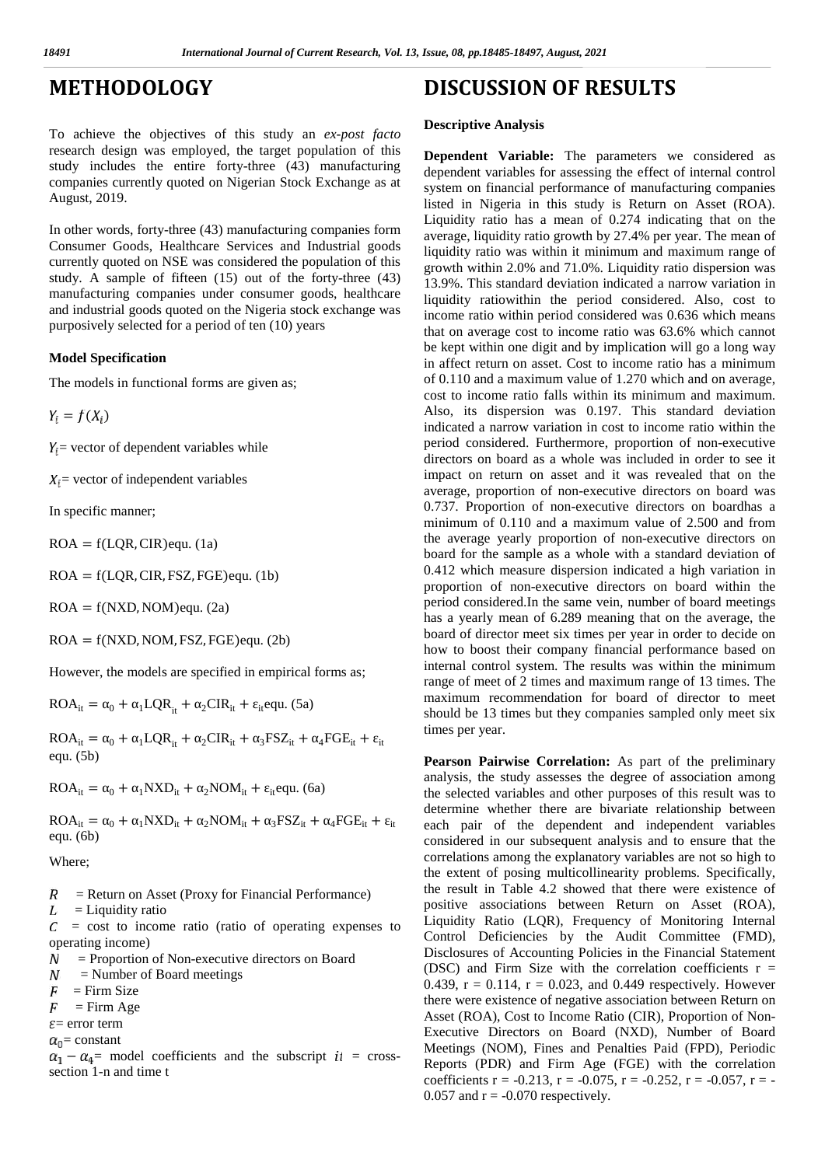# $METHODOLOGY$

To achieve the objectives of this study an *ex-post facto* research design was employed, the target population of this study includes the entire forty-three (43) manufacturing companies currently quoted on Nigerian Stock Exchange as at August, 2019.

In other words, forty-three (43) manufacturing companies form Consumer Goods, Healthcare Services and Industrial goods currently quoted on NSE was considered the population of this study. A sample of fifteen (15) out of the forty-three (43) manufacturing companies under consumer goods, healthcare and industrial goods quoted on the Nigeria stock exchange was purposively selected for a period of ten (10) years

### **Model Specification**

The models in functional forms are given as;

 $Y_i = f(X_i)$ 

 $Y_i$  vector of dependent variables while

 $X_i$  = vector of independent variables

In specific manner;

 $ROA = f(LQR, CIR)$ equ. (1a)

 $ROA = f(LQR, CIR, FSZ, FGE)$ equ. (1b)

 $ROA = f(NXD, NOM)$ equ. (2a)

 $ROA = f(NXD, NOM, FSZ, FGE)$ equ. (2b)

However, the models are specified in empirical forms as;

 $ROA_{it} = 0 + 1LQR_{it} + 2CIR_{it} + 1$ <sub>it</sub>equ. (5a)

 $ROA_{it} = 0 + 1LQR_{it} + 2CIR_{it} + 3FSZ_{it} + 4FGE_{it} + it$ equ. (5b)

 $ROA_{it} = 0 + 1NXD_{it} + 2NOM_{it} + 1$ <sub>it</sub>equ. (6a)

 $ROA_{it} = 0 + 1NXD_{it} + 2NOM_{it} + 3FSZ_{it} + 4FGE_{it} + it$ equ. (6b)

Where;

- = Return on Asset (Proxy for Financial Performance)  $\boldsymbol{R}$
- L = Liquidity ratio

= cost to income ratio (ratio of operating expenses to С operating income)

- = Proportion of Non-executive directors on Board  $\boldsymbol{N}$
- $\boldsymbol{N}$ = Number of Board meetings
- $\boldsymbol{F}$ = Firm Size
- $\overline{F}$  $=$  Firm Age
- $\varepsilon$ = error term
- $\alpha_0$  = constant

 $\alpha_1 - \alpha_4$  = model coefficients and the subscript  $it$  = cross-section 1-n and time t

# **DISCUSSION OF RESULTS**

#### **Descriptive Analysis**

**Dependent Variable:** The parameters we considered as dependent variables for assessing the effect of internal control system on financial performance of manufacturing companies listed in Nigeria in this study is Return on Asset (ROA). Liquidity ratio has a mean of 0.274 indicating that on the average, liquidity ratio growth by 27.4% per year. The mean of liquidity ratio was within it minimum and maximum range of growth within 2.0% and 71.0%. Liquidity ratio dispersion was 13.9%. This standard deviation indicated a narrow variation in liquidity ratiowithin the period considered. Also, cost to income ratio within period considered was 0.636 which means that on average cost to income ratio was 63.6% which cannot be kept within one digit and by implication will go a long way in affect return on asset. Cost to income ratio has a minimum of 0.110 and a maximum value of 1.270 which and on average, cost to income ratio falls within its minimum and maximum. Also, its dispersion was 0.197. This standard deviation indicated a narrow variation in cost to income ratio within the period considered. Furthermore, proportion of non-executive directors on board as a whole was included in order to see it impact on return on asset and it was revealed that on the average, proportion of non-executive directors on board was 0.737. Proportion of non-executive directors on boardhas a minimum of 0.110 and a maximum value of 2.500 and from the average yearly proportion of non-executive directors on board for the sample as a whole with a standard deviation of 0.412 which measure dispersion indicated a high variation in proportion of non-executive directors on board within the period considered.In the same vein, number of board meetings has a yearly mean of 6.289 meaning that on the average, the board of director meet six times per year in order to decide on how to boost their company financial performance based on internal control system. The results was within the minimum range of meet of 2 times and maximum range of 13 times. The maximum recommendation for board of director to meet should be 13 times but they companies sampled only meet six times per year.

**Pearson Pairwise Correlation:** As part of the preliminary analysis, the study assesses the degree of association among the selected variables and other purposes of this result was to determine whether there are bivariate relationship between each pair of the dependent and independent variables considered in our subsequent analysis and to ensure that the correlations among the explanatory variables are not so high to the extent of posing multicollinearity problems. Specifically, the result in Table 4.2 showed that there were existence of positive associations between Return on Asset (ROA), Liquidity Ratio (LQR), Frequency of Monitoring Internal Control Deficiencies by the Audit Committee (FMD), Disclosures of Accounting Policies in the Financial Statement (DSC) and Firm Size with the correlation coefficients  $r =$ 0.439,  $r = 0.114$ ,  $r = 0.023$ , and 0.449 respectively. However there were existence of negative association between Return on Asset (ROA), Cost to Income Ratio (CIR), Proportion of Non- Executive Directors on Board (NXD), Number of Board Meetings (NOM), Fines and Penalties Paid (FPD), Periodic Reports (PDR) and Firm Age (FGE) with the correlation coefficients  $r = -0.213$ ,  $r = -0.075$ ,  $r = -0.252$ ,  $r = -0.057$ ,  $r = -0.057$ 0.057 and  $r = -0.070$  respectively.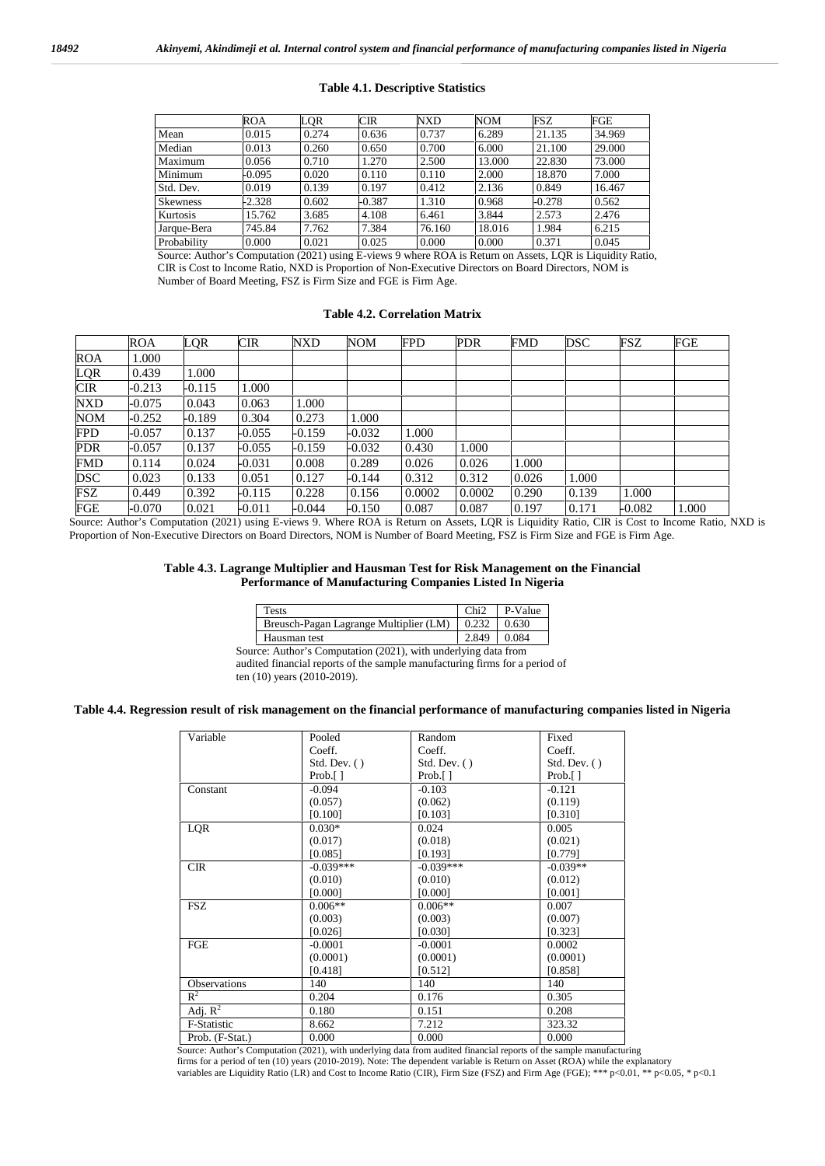#### **Table 4.1. Descriptive Statistics**

|                 | ROA      | LOR   | CIR      | <b>NXD</b> | <b>NOM</b> | FSZ      | FGE    |
|-----------------|----------|-------|----------|------------|------------|----------|--------|
| Mean            | 0.015    | 0.274 | 0.636    | 0.737      | 6.289      | 21.135   | 34.969 |
| Median          | 0.013    | 0.260 | 0.650    | 0.700      | 6.000      | 21.100   | 29.000 |
| Maximum         | 0.056    | 0.710 | 1.270    | 2.500      | 13.000     | 22.830   | 73.000 |
| Minimum         | $-0.095$ | 0.020 | 0.110    | 0.110      | 2.000      | 18.870   | 7.000  |
| Std. Dev.       | 0.019    | 0.139 | 0.197    | 0.412      | 2.136      | 0.849    | 16.467 |
| <b>Skewness</b> | $-2.328$ | 0.602 | $-0.387$ | 1.310      | 0.968      | $-0.278$ | 0.562  |
| Kurtosis        | 15.762   | 3.685 | 4.108    | 6.461      | 3.844      | 2.573    | 2.476  |
| Jarque-Bera     | 745.84   | 7.762 | 7.384    | 76.160     | 18.016     | 1.984    | 6.215  |
| Probability     | 0.000    | 0.021 | 0.025    | 0.000      | 0.000      | 0.371    | 0.045  |

Source: Author's Computation (2021) using E-views 9 where ROA is Return on Assets, LQR is Liquidity Ratio, CIR is Cost to Income Ratio, NXD is Proportion of Non-Executive Directors on Board Directors, NOM is Number of Board Meeting, FSZ is Firm Size and FGE is Firm Age.

#### **Table 4.2. Correlation Matrix**

|            | <b>ROA</b> | <b>LOR</b> | <b>CIR</b> | <b>NXD</b> | <b>NOM</b> | <b>FPD</b> | <b>PDR</b> | <b>FMD</b> | <b>DSC</b> | FSZ    | <b>FGE</b> |
|------------|------------|------------|------------|------------|------------|------------|------------|------------|------------|--------|------------|
| <b>ROA</b> | 1.000      |            |            |            |            |            |            |            |            |        |            |
| LQR        | 0.439      | 1.000      |            |            |            |            |            |            |            |        |            |
| <b>CIR</b> | $-0.213$   | $-0.115$   | 1.000      |            |            |            |            |            |            |        |            |
| NXD        | $-0.075$   | 0.043      | 0.063      | 1.000      |            |            |            |            |            |        |            |
| <b>NOM</b> | $-0.252$   | $-0.189$   | 0.304      | 0.273      | 1.000      |            |            |            |            |        |            |
| <b>FPD</b> | $-0.057$   | 0.137      | $-0.055$   | $-0.159$   | $-0.032$   | 1.000      |            |            |            |        |            |
| <b>PDR</b> | $-0.057$   | 0.137      | $-0.055$   | $-0.159$   | $-0.032$   | 0.430      | 1.000      |            |            |        |            |
| <b>FMD</b> | 0.114      | 0.024      | $-0.031$   | 0.008      | 0.289      | 0.026      | 0.026      | 1.000      |            |        |            |
| <b>DSC</b> | 0.023      | 0.133      | 0.051      | 0.127      | $-0.144$   | 0.312      | 0.312      | 0.026      | 1.000      |        |            |
| <b>FSZ</b> | 0.449      | 0.392      | $-0.115$   | 0.228      | 0.156      | 0.0002     | 0.0002     | 0.290      | 0.139      | 1.000  |            |
| FGE        | $-0.070$   | 0.021      | $-0.011$   | $-0.044$   | $-0.150$   | 0.087      | 0.087      | 0.197      | 0.171      | -0.082 | 1.000      |

Source: Author's Computation (2021) using E-views 9. Where ROA is Return on Assets, LQR is Liquidity Ratio, CIR is Cost to Income Ratio, NXD is Proportion of Non-Executive Directors on Board Directors, NOM is Number of Board Meeting, FSZ is Firm Size and FGE is Firm Age.

#### **Table 4.3. Lagrange Multiplier and Hausman Test for Risk Management on the Financial Performance of Manufacturing Companies Listed In Nigeria**

| <b>Tests</b>                           | Chi2  | P-Value |
|----------------------------------------|-------|---------|
| Breusch-Pagan Lagrange Multiplier (LM) | 0.232 | 0.630   |
| Hausman test                           | 2.849 | 0.084   |

Source: Author's Computation (2021), with underlying data from audited financial reports of the sample manufacturing firms for a period of ten  $(10)$  years  $(2010-2019)$ .

#### **Table 4.4. Regression result of risk management on the financial performance of manufacturing companies listed in Nigeria**

| Variable            | Pooled                      | Random                      | Fixed                       |
|---------------------|-----------------------------|-----------------------------|-----------------------------|
|                     | Coeff.                      | Coeff.                      | Coeff.                      |
|                     | Std. Dev. $( )$             | Std. Dev. $( )$             | Std. Dev. ()                |
|                     | Prob. $\lceil \cdot \rceil$ | Prob. $\lceil \cdot \rceil$ | Prob. $\lceil \cdot \rceil$ |
| Constant            | $-0.094$                    | $-0.103$                    | $-0.121$                    |
|                     | (0.057)                     | (0.062)                     | (0.119)                     |
|                     | [0.100]                     | [0.103]                     | [0.310]                     |
| LQR                 | $0.030*$                    | 0.024                       | 0.005                       |
|                     | (0.017)                     | (0.018)                     | (0.021)                     |
|                     | [0.085]                     | [0.193]                     | [0.779]                     |
| <b>CIR</b>          | $-0.039***$                 | $-0.039***$                 | $-0.039**$                  |
|                     | (0.010)                     | (0.010)                     | (0.012)                     |
|                     | [0.000]                     | [0.000]                     | [0.001]                     |
| <b>FSZ</b>          | $0.006**$                   | $0.006**$                   | 0.007                       |
|                     | (0.003)                     | (0.003)                     | (0.007)                     |
|                     | [0.026]                     | [0.030]                     | [0.323]                     |
| FGE                 | $-0.0001$                   | $-0.0001$                   | 0.0002                      |
|                     | (0.0001)                    | (0.0001)                    | (0.0001)                    |
|                     | [0.418]                     | [0.512]                     | [0.858]                     |
| <b>Observations</b> | 140                         | 140                         | 140                         |
| $R^2$               | 0.204                       | 0.176                       | 0.305                       |
| Adj. $R^2$          | 0.180                       | 0.151                       | 0.208                       |
| F-Statistic         | 8.662                       | 7.212                       | 323.32                      |
| Prob. (F-Stat.)     | 0.000                       | 0.000                       | 0.000                       |

Source: Author's Computation (2021), with underlying data from audited financial reports of the sample manufacturing<br>firms for a period of ten (10) years (2010-2019). Note: The dependent variable is Return on Asset (ROA) w variables are Liquidity Ratio (LR) and Cost to Income Ratio (CIR), Firm Size (FSZ) and Firm Age (FGE); \*\*\* p<0.01, \*\* p<0.05, \* p<0.1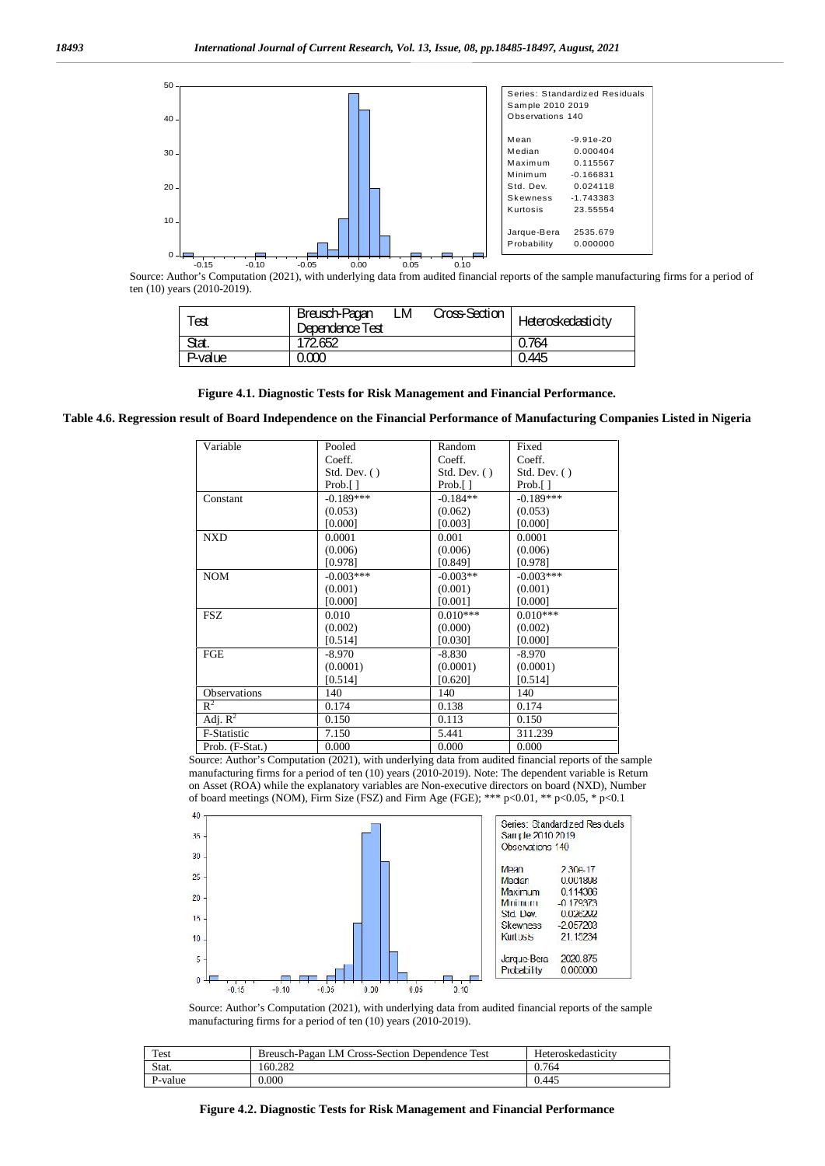

Source: Author's Computation (2021), with underlying data from audited financial reports of the sample manufacturing firms for a period of ten (10) years (2010-2019).

| Test    | LM<br>Breusch-Pagan<br>Dependence Test | Cross-Section | Heteroskedasticity |
|---------|----------------------------------------|---------------|--------------------|
| Stat.   | 172.652                                |               | 0.764              |
| P-value | 0.000                                  |               | 0.445              |

**Figure 4.1. Diagnostic Tests for Risk Management and Financial Performance.**

**Table 4.6. Regression result of Board Independence on the Financial Performance of Manufacturing Companies Listed in Nigeria**

| Variable              | Pooled          | Random                      | Fixed                       |
|-----------------------|-----------------|-----------------------------|-----------------------------|
|                       | Coeff.          | Coeff.                      | Coeff.                      |
|                       | Std. Dev. $( )$ | Std. Dev. ()                | Std. Dev. ()                |
|                       | Prob.[]         | Prob. $\lceil \cdot \rceil$ | Prob. $\lceil \cdot \rceil$ |
| Constant              | $-0.189***$     | $-0.184**$                  | $-0.189***$                 |
|                       | (0.053)         | (0.062)                     | (0.053)                     |
|                       | [0.000]         | [0.003]                     | [0.000]                     |
| <b>NXD</b>            | 0.0001          | 0.001                       | 0.0001                      |
|                       | (0.006)         | (0.006)                     | (0.006)                     |
|                       | [0.978]         | [0.849]                     | [0.978]                     |
| <b>NOM</b>            | $-0.003***$     | $-0.003**$                  | $-0.003***$                 |
|                       | (0.001)         | (0.001)                     | (0.001)                     |
|                       | [0.000]         | [0.001]                     | [0.000]                     |
| <b>FSZ</b>            | 0.010           | $0.010***$                  | $0.010***$                  |
|                       | (0.002)         | (0.000)                     | (0.002)                     |
|                       | [0.514]         | [0.030]                     | [0.000]                     |
| FGE                   | $-8.970$        | -8.830                      | $-8.970$                    |
|                       | (0.0001)        | (0.0001)                    | (0.0001)                    |
|                       | [0.514]         | [0.620]                     | [0.514]                     |
| Observations          | 140             | 140                         | 140                         |
| $R^2$                 | 0.174           | 0.138                       | 0.174                       |
| Adj. $\overline{R^2}$ | 0.150           | 0.113                       | 0.150                       |
| F-Statistic           | 7.150           | 5.441                       | 311.239                     |
| Prob. (F-Stat.)       | 0.000           | 0.000                       | 0.000                       |

Source: Author's Computation (2021), with underlying data from audited financial reports of the sample manufacturing firms for a period of ten (10) years (2010-2019). Note: The dependent variable is Return on Asset (ROA) while the explanatory variables are Non-executive directors on board (NXD), Number of board meetings (NOM), Firm Size (FSZ) and Firm Age (FGE); \*\*\* p<0.01, \*\* p<0.05, \* p<0.1



Source: Author's Computation (2021), with underlying data from audited financial reports of the sample manufacturing firms for a period of ten (10) years (2010-2019).

| Test    | Breusch-Pagan LM Cross-Section Dependence Test | Heteroskedasticity |
|---------|------------------------------------------------|--------------------|
| Stat.   | 160.282                                        | 0.764              |
| P-value | 0.000                                          | 0.445              |

**Figure 4.2. Diagnostic Tests for Risk Management and Financial Performance**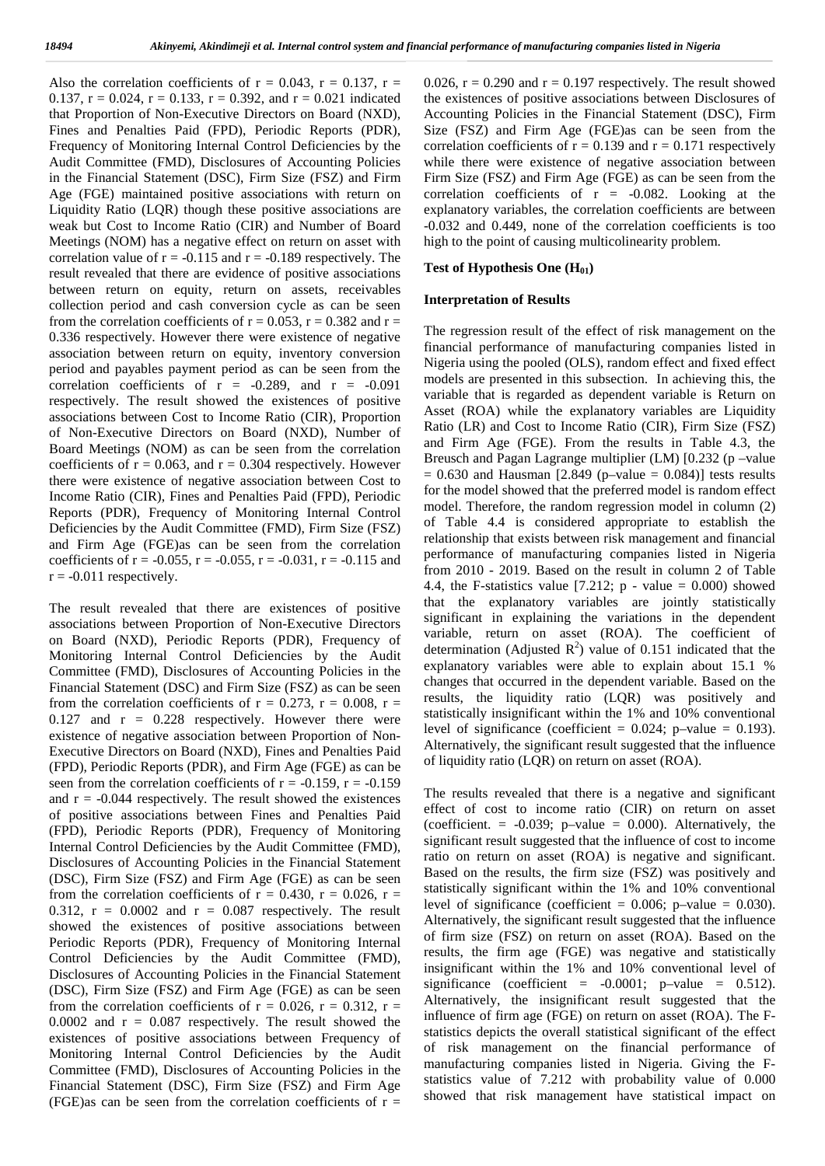Also the correlation coefficients of  $r = 0.043$ ,  $r = 0.137$ ,  $r = 0.026$ , 0.137,  $r = 0.024$ ,  $r = 0.133$ ,  $r = 0.392$ , and  $r = 0.021$  indicated that Proportion of Non-Executive Directors on Board (NXD), Fines and Penalties Paid (FPD), Periodic Reports (PDR), Frequency of Monitoring Internal Control Deficiencies by the Audit Committee (FMD), Disclosures of Accounting Policies in the Financial Statement (DSC), Firm Size (FSZ) and Firm Age (FGE) maintained positive associations with return on Liquidity Ratio (LQR) though these positive associations are weak but Cost to Income Ratio (CIR) and Number of Board Meetings (NOM) has a negative effect on return on asset with correlation value of  $r = -0.115$  and  $r = -0.189$  respectively. The result revealed that there are evidence of positive associations between return on equity, return on assets, receivables collection period and cash conversion cycle as can be seen from the correlation coefficients of  $r = 0.053$ ,  $r = 0.382$  and  $r =$ 0.336 respectively. However there were existence of negative association between return on equity, inventory conversion period and payables payment period as can be seen from the correlation coefficients of  $r = -0.289$ , and  $r = -0.091$ respectively. The result showed the existences of positive associations between Cost to Income Ratio (CIR), Proportion of Non-Executive Directors on Board (NXD), Number of Board Meetings (NOM) as can be seen from the correlation coefficients of  $r = 0.063$ , and  $r = 0.304$  respectively. However there were existence of negative association between Cost to Income Ratio (CIR), Fines and Penalties Paid (FPD), Periodic Reports (PDR), Frequency of Monitoring Internal Control Deficiencies by the Audit Committee (FMD), Firm Size (FSZ) and Firm Age (FGE)as can be seen from the correlation coefficients of  $r = -0.055$ ,  $r = -0.055$ ,  $r = -0.031$ ,  $r = -0.115$  and  $r = -0.011$  respectively.

The result revealed that there are existences of positive associations between Proportion of Non-Executive Directors on Board (NXD), Periodic Reports (PDR), Frequency of Monitoring Internal Control Deficiencies by the Audit Committee (FMD), Disclosures of Accounting Policies in the Financial Statement (DSC) and Firm Size (FSZ) as can be seen from the correlation coefficients of  $r = 0.273$ ,  $r = 0.008$ ,  $r =$ 0.127 and  $r = 0.228$  respectively. However there were existence of negative association between Proportion of Non- Executive Directors on Board (NXD), Fines and Penalties Paid (FPD), Periodic Reports (PDR), and Firm Age (FGE) as can be seen from the correlation coefficients of  $r = -0.159$ ,  $r = -0.159$ and  $r = -0.044$  respectively. The result showed the existences of positive associations between Fines and Penalties Paid (FPD), Periodic Reports (PDR), Frequency of Monitoring Internal Control Deficiencies by the Audit Committee (FMD), Disclosures of Accounting Policies in the Financial Statement (DSC), Firm Size (FSZ) and Firm Age (FGE) as can be seen from the correlation coefficients of  $r = 0.430$ ,  $r = 0.026$ ,  $r =$ 0.312,  $r = 0.0002$  and  $r = 0.087$  respectively. The result showed the existences of positive associations between Periodic Reports (PDR), Frequency of Monitoring Internal Control Deficiencies by the Audit Committee (FMD), Disclosures of Accounting Policies in the Financial Statement (DSC), Firm Size (FSZ) and Firm Age (FGE) as can be seen from the correlation coefficients of  $r = 0.026$ ,  $r = 0.312$ ,  $r =$ 0.0002 and  $r = 0.087$  respectively. The result showed the existences of positive associations between Frequency of Monitoring Internal Control Deficiencies by the Audit Committee (FMD), Disclosures of Accounting Policies in the Financial Statement (DSC), Firm Size (FSZ) and Firm Age (FGE)as can be seen from the correlation coefficients of  $r =$ 

0.026,  $r = 0.290$  and  $r = 0.197$  respectively. The result showed the existences of positive associations between Disclosures of Accounting Policies in the Financial Statement (DSC), Firm Size (FSZ) and Firm Age (FGE)as can be seen from the correlation coefficients of  $r = 0.139$  and  $r = 0.171$  respectively while there were existence of negative association between Firm Size (FSZ) and Firm Age (FGE) as can be seen from the correlation coefficients of  $r = -0.082$ . Looking at the explanatory variables, the correlation coefficients are between -0.032 and 0.449, none of the correlation coefficients is too high to the point of causing multicolinearity problem.

### **Test of Hypothesis One (H01)**

#### **Interpretation of Results**

The regression result of the effect of risk management on the financial performance of manufacturing companies listed in Nigeria using the pooled (OLS), random effect and fixed effect models are presented in this subsection. In achieving this, the variable that is regarded as dependent variable is Return on Asset (ROA) while the explanatory variables are Liquidity Ratio (LR) and Cost to Income Ratio (CIR), Firm Size (FSZ) and Firm Age (FGE). From the results in Table 4.3, the Breusch and Pagan Lagrange multiplier (LM) [0.232 (p –value  $= 0.630$  and Hausman [2.849 (p–value  $= 0.084$ )] tests results for the model showed that the preferred model is random effect model. Therefore, the random regression model in column (2) of Table 4.4 is considered appropriate to establish the relationship that exists between risk management and financial performance of manufacturing companies listed in Nigeria from 2010 - 2019. Based on the result in column 2 of Table 4.4, the F-statistics value  $[7.212; p - value = 0.000)$  showed that the explanatory variables are jointly statistically significant in explaining the variations in the dependent variable, return on asset (ROA). The coefficient of determination (Adjusted  $\mathbb{R}^2$ ) value of 0.151 indicated that the explanatory variables were able to explain about 15.1 % changes that occurred in the dependent variable. Based on the results, the liquidity ratio (LQR) was positively and statistically insignificant within the 1% and 10% conventional level of significance (coefficient =  $0.024$ ; p–value = 0.193). Alternatively, the significant result suggested that the influence of liquidity ratio (LQR) on return on asset (ROA).

The results revealed that there is a negative and significant effect of cost to income ratio (CIR) on return on asset (coefficient.  $= -0.039$ ; p-value  $= 0.000$ ). Alternatively, the significant result suggested that the influence of cost to income ratio on return on asset (ROA) is negative and significant. Based on the results, the firm size (FSZ) was positively and statistically significant within the 1% and 10% conventional level of significance (coefficient =  $0.006$ ; p–value = 0.030). Alternatively, the significant result suggested that the influence of firm size (FSZ) on return on asset (ROA). Based on the results, the firm age (FGE) was negative and statistically insignificant within the 1% and 10% conventional level of significance (coefficient =  $-0.0001$ ; p–value = 0.512). Alternatively, the insignificant result suggested that the influence of firm age (FGE) on return on asset (ROA). The F statistics depicts the overall statistical significant of the effect of risk management on the financial performance of manufacturing companies listed in Nigeria. Giving the F statistics value of 7.212 with probability value of 0.000 showed that risk management have statistical impact on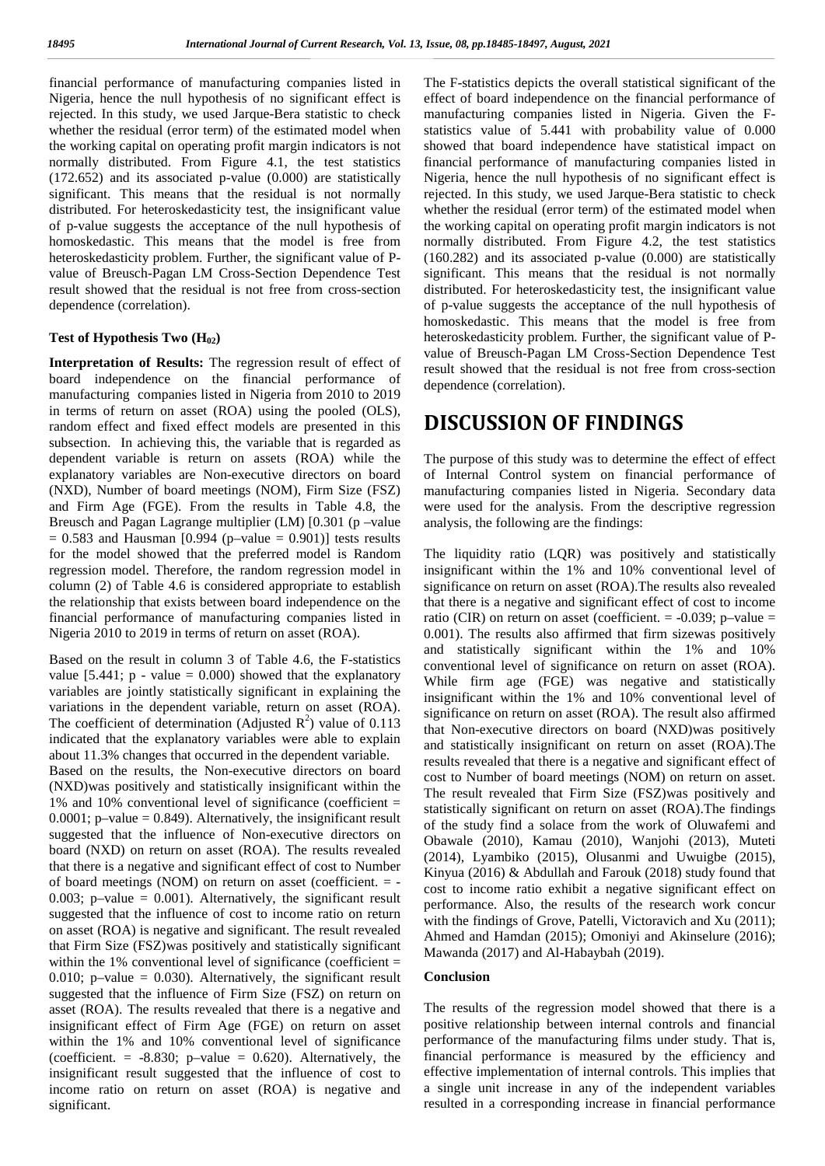financial performance of manufacturing companies listed in The Nigeria, hence the null hypothesis of no significant effect is rejected. In this study, we used Jarque-Bera statistic to check whether the residual (error term) of the estimated model when the working capital on operating profit margin indicators is not normally distributed. From Figure 4.1, the test statistics (172.652) and its associated p-value (0.000) are statistically significant. This means that the residual is not normally distributed. For heteroskedasticity test, the insignificant value of p-value suggests the acceptance of the null hypothesis of homoskedastic. This means that the model is free from heteroskedasticity problem. Further, the significant value of P value of Breusch-Pagan LM Cross-Section Dependence Test result showed that the residual is not free from cross-section dependence (correlation).

#### **Test of Hypothesis Two (H02)**

**Interpretation of Results:** The regression result of effect of board independence on the financial performance of manufacturing companies listed in Nigeria from 2010 to 2019 in terms of return on asset (ROA) using the pooled (OLS), random effect and fixed effect models are presented in this subsection. In achieving this, the variable that is regarded as dependent variable is return on assets (ROA) while the explanatory variables are Non-executive directors on board (NXD), Number of board meetings (NOM), Firm Size (FSZ) and Firm Age (FGE). From the results in Table 4.8, the Breusch and Pagan Lagrange multiplier (LM) [0.301 (p –value  $= 0.583$  and Hausman [0.994 (p–value  $= 0.901$ )] tests results for the model showed that the preferred model is Random regression model. Therefore, the random regression model in column (2) of Table 4.6 is considered appropriate to establish the relationship that exists between board independence on the financial performance of manufacturing companies listed in Nigeria 2010 to 2019 in terms of return on asset (ROA).

Based on the result in column 3 of Table 4.6, the F-statistics value  $[5.441; p - value = 0.000)$  showed that the explanatory variables are jointly statistically significant in explaining the variations in the dependent variable, return on asset (ROA). The coefficient of determination (Adjusted  $\mathbb{R}^2$ ) value of 0.113 indicated that the explanatory variables were able to explain about 11.3% changes that occurred in the dependent variable.

Based on the results, the Non-executive directors on board (NXD)was positively and statistically insignificant within the 1% and 10% conventional level of significance (coefficient =  $0.0001$ ; p–value = 0.849). Alternatively, the insignificant result suggested that the influence of Non-executive directors on board (NXD) on return on asset (ROA). The results revealed that there is a negative and significant effect of cost to Number of board meetings (NOM) on return on asset (coefficient.  $=$  -0.003; p–value =  $0.001$ ). Alternatively, the significant result suggested that the influence of cost to income ratio on return on asset (ROA) is negative and significant. The result revealed that Firm Size (FSZ)was positively and statistically significant within the  $1\%$  conventional level of significance (coefficient = 0.010; p–value =  $0.030$ ). Alternatively, the significant result suggested that the influence of Firm Size (FSZ) on return on asset (ROA). The results revealed that there is a negative and insignificant effect of Firm Age (FGE) on return on asset within the 1% and 10% conventional level of significance (coefficient.  $= -8.830$ ; p–value  $= 0.620$ ). Alternatively, the insignificant result suggested that the influence of cost to income ratio on return on asset (ROA) is negative and significant.

The F-statistics depicts the overall statistical significant of the effect of board independence on the financial performance of manufacturing companies listed in Nigeria. Given the F statistics value of 5.441 with probability value of 0.000 showed that board independence have statistical impact on financial performance of manufacturing companies listed in Nigeria, hence the null hypothesis of no significant effect is rejected. In this study, we used Jarque-Bera statistic to check whether the residual (error term) of the estimated model when the working capital on operating profit margin indicators is not normally distributed. From Figure 4.2, the test statistics (160.282) and its associated p-value (0.000) are statistically significant. This means that the residual is not normally distributed. For heteroskedasticity test, the insignificant value of p-value suggests the acceptance of the null hypothesis of homoskedastic. This means that the model is free from heteroskedasticity problem. Further, the significant value of P value of Breusch-Pagan LM Cross-Section Dependence Test result showed that the residual is not free from cross-section dependence (correlation).

## **DISCUSSION OF FINDINGS**

The purpose of this study was to determine the effect of effect of Internal Control system on financial performance of manufacturing companies listed in Nigeria. Secondary data were used for the analysis. From the descriptive regression analysis, the following are the findings:

The liquidity ratio (LQR) was positively and statistically insignificant within the 1% and 10% conventional level of significance on return on asset (ROA).The results also revealed that there is a negative and significant effect of cost to income ratio (CIR) on return on asset (coefficient.  $= -0.039$ ; p–value  $=$ 0.001). The results also affirmed that firm sizewas positively and statistically significant within the 1% and 10% conventional level of significance on return on asset (ROA). While firm age (FGE) was negative and statistically insignificant within the 1% and 10% conventional level of significance on return on asset (ROA). The result also affirmed that Non-executive directors on board (NXD)was positively and statistically insignificant on return on asset (ROA).The results revealed that there is a negative and significant effect of cost to Number of board meetings (NOM) on return on asset. The result revealed that Firm Size (FSZ)was positively and statistically significant on return on asset (ROA).The findings of the study find a solace from the work of Oluwafemi and Obawale (2010), Kamau (2010), Wanjohi (2013), Muteti (2014), Lyambiko (2015), Olusanmi and Uwuigbe (2015), Kinyua (2016) & Abdullah and Farouk (2018) study found that cost to income ratio exhibit a negative significant effect on performance. Also, the results of the research work concur with the findings of Grove, Patelli, Victoravich and Xu (2011); Ahmed and Hamdan (2015); Omoniyi and Akinselure (2016); Mawanda (2017) and Al-Habaybah (2019).

### **Conclusion**

The results of the regression model showed that there is a positive relationship between internal controls and financial performance of the manufacturing films under study. That is, financial performance is measured by the efficiency and effective implementation of internal controls. This implies that a single unit increase in any of the independent variables resulted in a corresponding increase in financial performance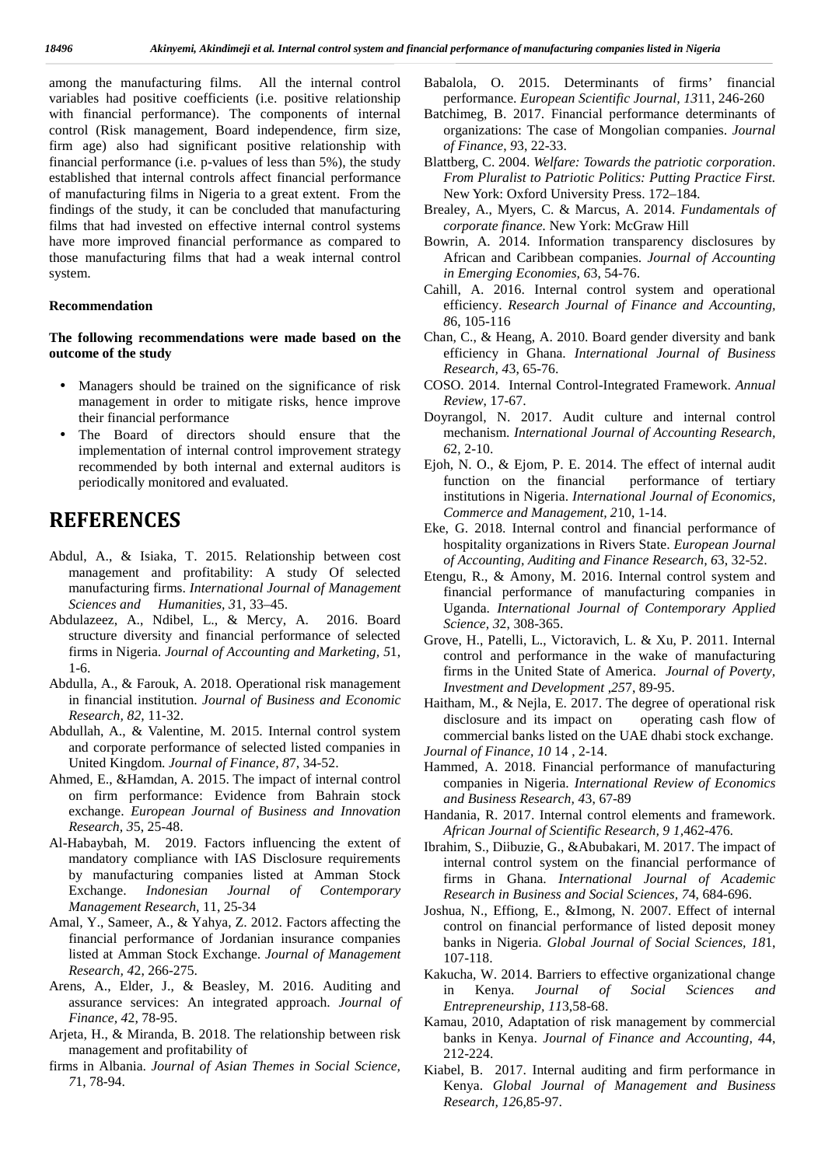among the manufacturing films. All the internal control **I** variables had positive coefficients (i.e. positive relationship with financial performance). The components of internal control (Risk management, Board independence, firm size, firm age) also had significant positive relationship with financial performance (i.e. p-values of less than 5%), the study established that internal controls affect financial performance of manufacturing films in Nigeria to a great extent. From the findings of the study, it can be concluded that manufacturing films that had invested on effective internal control systems have more improved financial performance as compared to those manufacturing films that had a weak internal control system.

#### **Recommendation**

**The following recommendations were made based on the outcome of the study**

- Managers should be trained on the significance of risk management in order to mitigate risks, hence improve their financial performance
- The Board of directors should ensure that the implementation of internal control improvement strategy recommended by both internal and external auditors is periodically monitored and evaluated.

# **REFERENCES**

- Abdul, A., & Isiaka, T. 2015. Relationship between cost management and profitability: A study Of selected manufacturing firms. *International Journal of Management Sciences and Humanities, 3*1, 33–45.
- Abdulazeez, A., Ndibel, L., & Mercy, A. 2016. Board structure diversity and financial performance of selected firms in Nigeria. *Journal of Accounting and Marketing, 5*1, 1-6.
- Abdulla, A., & Farouk, A. 2018. Operational risk management in financial institution. *Journal of Business and Economic Research, 82,* 11-32.
- Abdullah, A., & Valentine, M. 2015. Internal control system and corporate performance of selected listed companies in United Kingdom. *Journal of Finance, 8*7, 34-52.
- Ahmed, E., &Hamdan, A. 2015. The impact of internal control on firm performance: Evidence from Bahrain stock exchange. *European Journal of Business and Innovation Research, 3*5, 25-48.
- Al-Habaybah, M. 2019. Factors influencing the extent of mandatory compliance with IAS Disclosure requirements by manufacturing companies listed at Amman Stock Exchange. *Indonesian Journal of Contemporary Management Research,* 11, 25-34
- Amal, Y., Sameer, A., & Yahya, Z. 2012. Factors affecting the financial performance of Jordanian insurance companies listed at Amman Stock Exchange. *Journal of Management Research, 4*2, 266-275.
- Arens, A., Elder, J., & Beasley, M. 2016. Auditing and in assurance services: An integrated approach. *Journal of Finance, 4*2, 78-95.
- Arjeta, H., & Miranda, B. 2018. The relationship between risk management and profitability of
- firms in Albania. *Journal of Asian Themes in Social Science, 7*1, 78-94.
- Babalola, O. 2015. Determinants of firms' financial performance. *European Scientific Journal, 13*11, 246-260
- Batchimeg, B. 2017. Financial performance determinants of organizations: The case of Mongolian companies. *Journal of Finance*, *9*3, 22-33.
- Blattberg, C. 2004. *Welfare: Towards the patriotic corporation*. *From Pluralist to Patriotic Politics: Putting Practice First.* New York: Oxford University Press. 172–184*.*
- Brealey, A., Myers, C. & Marcus, A. 2014. *Fundamentals of corporate finance.* New York: McGraw Hill
- Bowrin, A. 2014. Information transparency disclosures by African and Caribbean companies. *Journal of Accounting in Emerging Economies, 6*3, 54-76.
- Cahill, A. 2016. Internal control system and operational efficiency. *Research Journal of Finance and Accounting, 8*6, 105-116
- Chan, C., & Heang, A. 2010. Board gender diversity and bank efficiency in Ghana. *International Journal of Business Research, 4*3, 65-76.
- COSO. 2014. Internal Control-Integrated Framework. *Annual Review*, 17-67.
- Doyrangol, N. 2017. Audit culture and internal control mechanism. *International Journal of Accounting Research, 6*2, 2-10.
- Ejoh, N. O., & Ejom, P. E. 2014. The effect of internal audit function on the financial performance of tertiary institutions in Nigeria. *International Journal of Economics, Commerce and Management, 2*10, 1-14.
- Eke, G. 2018. Internal control and financial performance of hospitality organizations in Rivers State. *European Journal of Accounting, Auditing and Finance Research, 6*3, 32-52.
- Etengu, R., & Amony, M. 2016. Internal control system and financial performance of manufacturing companies in Uganda. *International Journal of Contemporary Applied Science, 3*2, 308-365.
- Grove, H., Patelli, L., Victoravich, L. & Xu, P. 2011. Internal control and performance in the wake of manufacturing firms in the United State of America. *Journal of Poverty, Investment and Development* ,*25*7, 89-95.
- Haitham, M., & Nejla, E. 2017. The degree of operational risk disclosure and its impact on operating cash flow of commercial banks listed on the UAE dhabi stock exchange.
- *Journal of Finance, 10* 14 , 2-14.
- Hammed, A. 2018. Financial performance of manufacturing companies in Nigeria. *International Review of Economics and Business Research, 4*3, 67-89
- Handania, R. 2017. Internal control elements and framework. *African Journal of Scientific Research, 9 1,*462-476.
- Ibrahim, S., Diibuzie, G., &Abubakari, M. 2017. The impact of internal control system on the financial performance of firms in Ghana. *International Journal of Academic Research in Business and Social Sciences, 7*4, 684-696.
- Joshua, N., Effiong, E., &Imong, N. 2007. Effect of internal control on financial performance of listed deposit money banks in Nigeria. *Global Journal of Social Sciences, 18*1, 107-118.
- Kakucha, W. 2014. Barriers to effective organizational change in Kenya. *Journal of Social Sciences and Entrepreneurship, 11*3,58-68.
- Kamau, 2010, Adaptation of risk management by commercial banks in Kenya. *Journal of Finance and Accounting, 4*4, 212-224.
- Kiabel, B. 2017. Internal auditing and firm performance in Kenya. *Global Journal of Management and Business Research, 12*6,85-97.